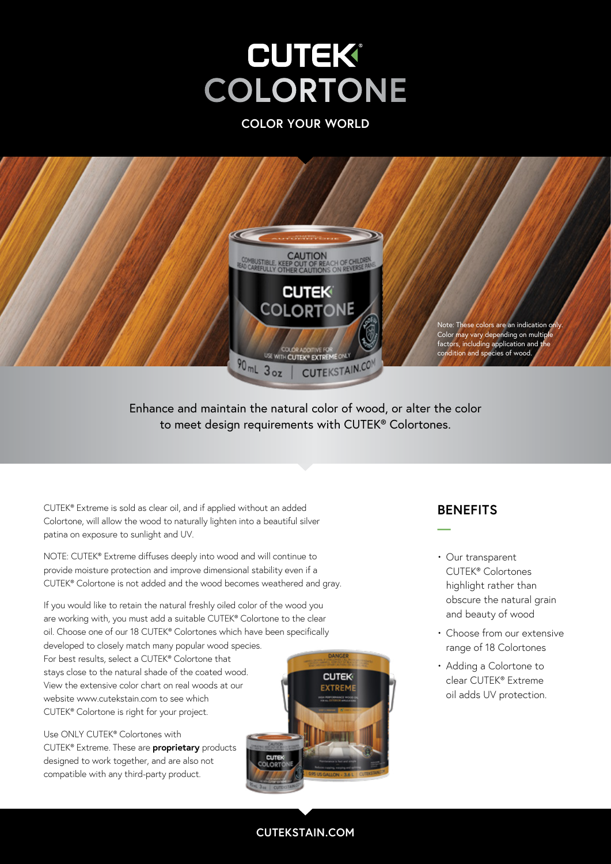**COLOR YOUR WORLD**



Enhance and maintain the natural color of wood, or alter the color to meet design requirements with CUTEK® Colortones.

CUTEK® Extreme is sold as clear oil, and if applied without an added Colortone, will allow the wood to naturally lighten into a beautiful silver patina on exposure to sunlight and UV.

NOTE: CUTEK® Extreme diffuses deeply into wood and will continue to provide moisture protection and improve dimensional stability even if a CUTEK® Colortone is not added and the wood becomes weathered and gray.

If you would like to retain the natural freshly oiled color of the wood you are working with, you must add a suitable CUTEK® Colortone to the clear oil. Choose one of our 18 CUTEK® Colortones which have been specifically developed to closely match many popular wood species. For best results, select a CUTEK® Colortone that stays close to the natural shade of the coated wood. View the extensive color chart on real woods at our website www.cutekstain.com to see which CUTEK® Colortone is right for your project.

Use ONLY CUTEK® Colortones with CUTEK® Extreme. These are **proprietary** products designed to work together, and are also not compatible with any third-party product.



### **BENEFITS**

**—**

- Our transparent CUTEK® Colortones highlight rather than obscure the natural grain and beauty of wood
- Choose from our extensive range of 18 Colortones
- Adding a Colortone to clear CUTEK® Extreme oil adds UV protection.

#### **CUTEKSTAIN.COM**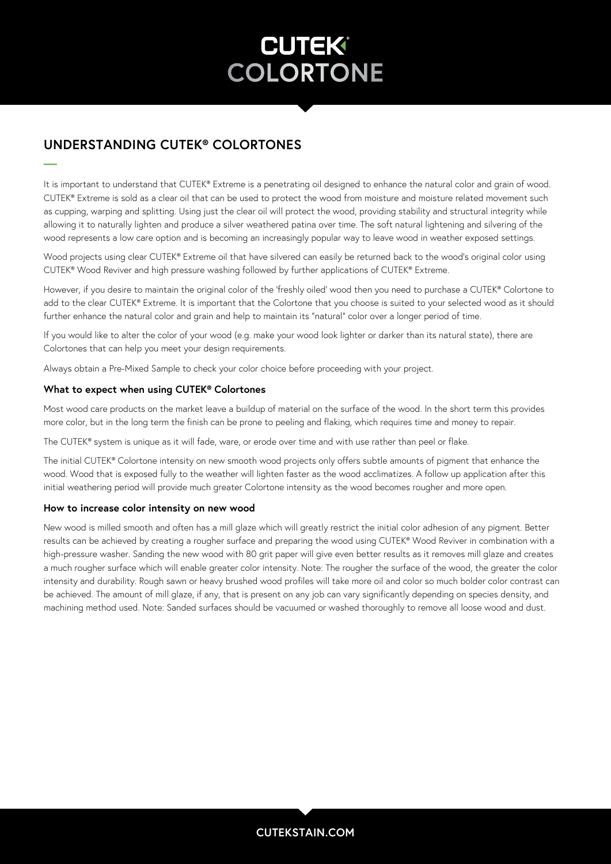### **UNDERSTANDING CUTEK® COLORTONES**

**—**

It is important to understand that CUTEK® Extreme is a penetrating oil designed to enhance the natural color and grain of wood. CUTEK® Extreme is sold as a clear oil that can be used to protect the wood from moisture and moisture related movement such as cupping, warping and splitting. Using just the clear oil will protect the wood, providing stability and structural integrity while allowing it to naturally lighten and produce a silver weathered patina over time. The soft natural lightening and silvering of the wood represents a low care option and is becoming an increasingly popular way to leave wood in weather exposed settings.

Wood projects using clear CUTEK® Extreme oil that have silvered can easily be returned back to the wood's original color using CUTEK® Wood Reviver and high pressure washing followed by further applications of CUTEK® Extreme.

However, if you desire to maintain the original color of the 'freshly oiled' wood then you need to purchase a CUTEK® Colortone to add to the clear CUTEK® Extreme. It is important that the Colortone that you choose is suited to your selected wood as it should further enhance the natural color and grain and help to maintain its "natural" color over a longer period of time.

If you would like to alter the color of your wood (e.g. make your wood look lighter or darker than its natural state), there are Colortones that can help you meet your design requirements.

Always obtain a Pre-Mixed Sample to check your color choice before proceeding with your project.

#### **What to expect when using CUTEK® Colortones**

Most wood care products on the market leave a buildup of material on the surface of the wood. In the short term this provides more color, but in the long term the finish can be prone to peeling and flaking, which requires time and money to repair.

The CUTEK® system is unique as it will fade, ware, or erode over time and with use rather than peel or flake.

The initial CUTEK® Colortone intensity on new smooth wood projects only offers subtle amounts of pigment that enhance the wood. Wood that is exposed fully to the weather will lighten faster as the wood acclimatizes. A follow up application after this initial weathering period will provide much greater Colortone intensity as the wood becomes rougher and more open.

#### **How to increase color intensity on new wood**

New wood is milled smooth and often has a mill glaze which will greatly restrict the initial color adhesion of any pigment. Better results can be achieved by creating a rougher surface and preparing the wood using CUTEK® Wood Reviver in combination with a high-pressure washer. Sanding the new wood with 80 grit paper will give even better results as it removes mill glaze and creates a much rougher surface which will enable greater color intensity. Note: The rougher the surface of the wood, the greater the color intensity and durability. Rough sawn or heavy brushed wood profiles will take more oil and color so much bolder color contrast can be achieved. The amount of mill glaze, if any, that is present on any job can vary significantly depending on species density, and machining method used. Note: Sanded surfaces should be vacuumed or washed thoroughly to remove all loose wood and dust.

#### **CUTEKSTAIN.COM**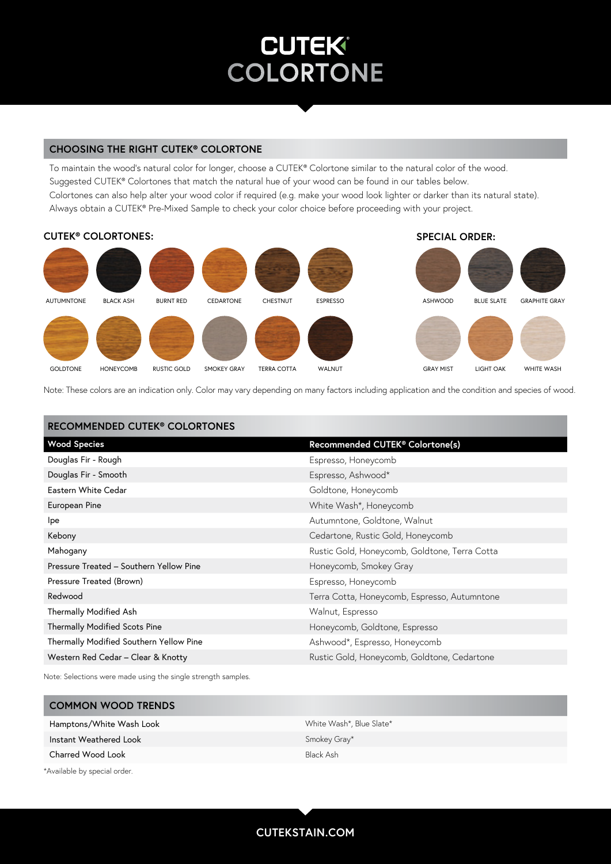#### **CHOOSING THE RIGHT CUTEK® COLORTONE**

To maintain the wood's natural color for longer, choose a CUTEK® Colortone similar to the natural color of the wood. Suggested CUTEK® Colortones that match the natural hue of your wood can be found in our tables below. Colortones can also help alter your wood color if required (e.g. make your wood look lighter or darker than its natural state). Always obtain a CUTEK® Pre-Mixed Sample to check your color choice before proceeding with your project.



Note: These colors are an indication only. Color may vary depending on many factors including application and the condition and species of wood.

| <b>RECOMMENDED CUTEK<sup>®</sup> COLORTONES</b> |                                               |
|-------------------------------------------------|-----------------------------------------------|
| <b>Wood Species</b>                             | Recommended CUTEK® Colortone(s)               |
| Douglas Fir - Rough                             | Espresso, Honeycomb                           |
| Douglas Fir - Smooth                            | Espresso, Ashwood*                            |
| Eastern White Cedar                             | Goldtone, Honeycomb                           |
| European Pine                                   | White Wash*, Honeycomb                        |
| lpe                                             | Autumntone, Goldtone, Walnut                  |
| Kebony                                          | Cedartone, Rustic Gold, Honeycomb             |
| Mahogany                                        | Rustic Gold, Honeycomb, Goldtone, Terra Cotta |
| Pressure Treated - Southern Yellow Pine         | Honeycomb, Smokey Gray                        |
| Pressure Treated (Brown)                        | Espresso, Honeycomb                           |
| Redwood                                         | Terra Cotta, Honeycomb, Espresso, Autumntone  |
| <b>Thermally Modified Ash</b>                   | Walnut, Espresso                              |
| <b>Thermally Modified Scots Pine</b>            | Honeycomb, Goldtone, Espresso                 |
| Thermally Modified Southern Yellow Pine         | Ashwood*, Espresso, Honeycomb                 |
| Western Red Cedar - Clear & Knotty              | Rustic Gold, Honeycomb, Goldtone, Cedartone   |

Note: Selections were made using the single strength samples.

| <b>COMMON WOOD TRENDS</b>    |                          |
|------------------------------|--------------------------|
| Hamptons/White Wash Look     | White Wash*, Blue Slate* |
| Instant Weathered Look       | Smokey Gray*             |
| Charred Wood Look            | Black Ash                |
| *Available by special order. |                          |